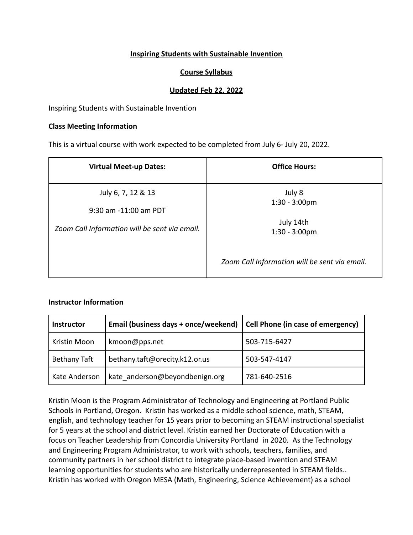## **Inspiring Students with Sustainable Invention**

### **Course Syllabus**

### **Updated Feb 22, 2022**

Inspiring Students with Sustainable Invention

#### **Class Meeting Information**

This is a virtual course with work expected to be completed from July 6- July 20, 2022.

| <b>Virtual Meet-up Dates:</b>                                          | <b>Office Hours:</b>                          |
|------------------------------------------------------------------------|-----------------------------------------------|
| July 6, 7, 12 & 13                                                     | July 8<br>$1:30 - 3:00 \text{pm}$             |
| 9:30 am -11:00 am PDT<br>Zoom Call Information will be sent via email. | July 14th<br>$1:30 - 3:00 \text{pm}$          |
|                                                                        | Zoom Call Information will be sent via email. |

#### **Instructor Information**

| <b>Instructor</b> | Email (business days + once/weekend) | Cell Phone (in case of emergency) |
|-------------------|--------------------------------------|-----------------------------------|
| Kristin Moon      | kmoon@pps.net                        | 503-715-6427                      |
| Bethany Taft      | bethany.taft@orecity.k12.or.us       | 503-547-4147                      |
| Kate Anderson     | kate anderson@beyondbenign.org       | 781-640-2516                      |

Kristin Moon is the Program Administrator of Technology and Engineering at Portland Public Schools in Portland, Oregon. Kristin has worked as a middle school science, math, STEAM, english, and technology teacher for 15 years prior to becoming an STEAM instructional specialist for 5 years at the school and district level. Kristin earned her Doctorate of Education with a focus on Teacher Leadership from Concordia University Portland in 2020. As the Technology and Engineering Program Administrator, to work with schools, teachers, families, and community partners in her school district to integrate place-based invention and STEAM learning opportunities for students who are historically underrepresented in STEAM fields.. Kristin has worked with Oregon MESA (Math, Engineering, Science Achievement) as a school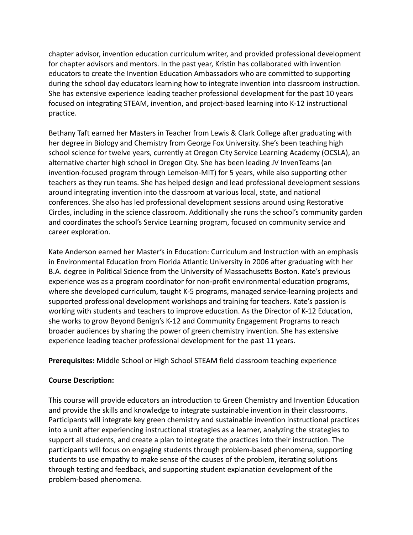chapter advisor, invention education curriculum writer, and provided professional development for chapter advisors and mentors. In the past year, Kristin has collaborated with invention educators to create the Invention Education Ambassadors who are committed to supporting during the school day educators learning how to integrate invention into classroom instruction. She has extensive experience leading teacher professional development for the past 10 years focused on integrating STEAM, invention, and project-based learning into K-12 instructional practice.

Bethany Taft earned her Masters in Teacher from Lewis & Clark College after graduating with her degree in Biology and Chemistry from George Fox University. She's been teaching high school science for twelve years, currently at Oregon City Service Learning Academy (OCSLA), an alternative charter high school in Oregon City. She has been leading JV InvenTeams (an invention-focused program through Lemelson-MIT) for 5 years, while also supporting other teachers as they run teams. She has helped design and lead professional development sessions around integrating invention into the classroom at various local, state, and national conferences. She also has led professional development sessions around using Restorative Circles, including in the science classroom. Additionally she runs the school's community garden and coordinates the school's Service Learning program, focused on community service and career exploration.

Kate Anderson earned her Master's in Education: Curriculum and Instruction with an emphasis in Environmental Education from Florida Atlantic University in 2006 after graduating with her B.A. degree in Political Science from the University of Massachusetts Boston. Kate's previous experience was as a program coordinator for non-profit environmental education programs, where she developed curriculum, taught K-5 programs, managed service-learning projects and supported professional development workshops and training for teachers. Kate's passion is working with students and teachers to improve education. As the Director of K-12 Education, she works to grow Beyond Benign's K-12 and Community Engagement Programs to reach broader audiences by sharing the power of green chemistry invention. She has extensive experience leading teacher professional development for the past 11 years.

**Prerequisites:** Middle School or High School STEAM field classroom teaching experience

# **Course Description:**

This course will provide educators an introduction to Green Chemistry and Invention Education and provide the skills and knowledge to integrate sustainable invention in their classrooms. Participants will integrate key green chemistry and sustainable invention instructional practices into a unit after experiencing instructional strategies as a learner, analyzing the strategies to support all students, and create a plan to integrate the practices into their instruction. The participants will focus on engaging students through problem-based phenomena, supporting students to use empathy to make sense of the causes of the problem, iterating solutions through testing and feedback, and supporting student explanation development of the problem-based phenomena.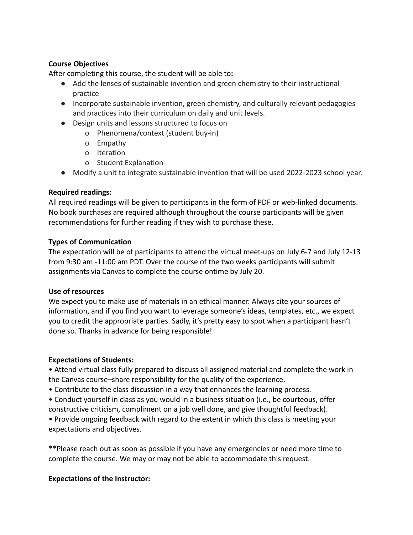## **Course Objectives**

After completing this course, the student will be able to**:**

- Add the lenses of sustainable invention and green chemistry to their instructional practice
- Incorporate sustainable invention, green chemistry, and culturally relevant pedagogies and practices into their curriculum on daily and unit levels.
- Design units and lessons structured to focus on
	- o Phenomena/context (student buy-in)
	- o Empathy
	- o Iteration
	- o Student Explanation
- Modify a unit to integrate sustainable invention that will be used 2022-2023 school year.

# **Required readings:**

All required readings will be given to participants in the form of PDF or web-linked documents. No book purchases are required although throughout the course participants will be given recommendations for further reading if they wish to purchase these.

### **Types of Communication**

The expectation will be of participants to attend the virtual meet-ups on July 6-7 and July 12-13 from 9:30 am -11:00 am PDT. Over the course of the two weeks participants will submit assignments via Canvas to complete the course ontime by July 20.

#### **Use of resources**

We expect you to make use of materials in an ethical manner. Always cite your sources of information, and if you find you want to leverage someone's ideas, templates, etc., we expect you to credit the appropriate parties. Sadly, it's pretty easy to spot when a participant hasn't done so. Thanks in advance for being responsible!

# **Expectations of Students:**

• Attend virtual class fully prepared to discuss all assigned material and complete the work in the Canvas course–share responsibility for the quality of the experience.

- Contribute to the class discussion in a way that enhances the learning process.
- Conduct yourself in class as you would in a business situation (i.e., be courteous, offer constructive criticism, compliment on a job well done, and give thoughtful feedback).
- Provide ongoing feedback with regard to the extent in which this class is meeting your expectations and objectives.

\*\*Please reach out as soon as possible if you have any emergencies or need more time to complete the course. We may or may not be able to accommodate this request.

# **Expectations of the Instructor:**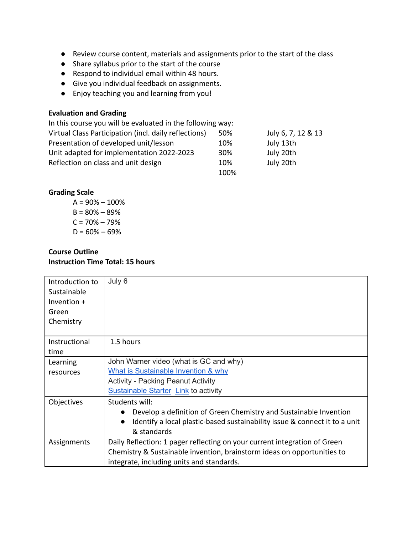- Review course content, materials and assignments prior to the start of the class
- Share syllabus prior to the start of the course
- Respond to individual email within 48 hours.
- Give you individual feedback on assignments.
- Enjoy teaching you and learning from you!

## **Evaluation and Grading**

| In this course you will be evaluated in the following way: |      |                    |
|------------------------------------------------------------|------|--------------------|
| Virtual Class Participation (incl. daily reflections)      | 50%  | July 6, 7, 12 & 13 |
| Presentation of developed unit/lesson                      | 10%  | July 13th          |
| Unit adapted for implementation 2022-2023                  | 30%  | July 20th          |
| Reflection on class and unit design                        | 10%  | July 20th          |
|                                                            | 100% |                    |

#### **Grading Scale**

 $A = 90\% - 100\%$  $B = 80\% - 89\%$  $C = 70% - 79%$  $D = 60\% - 69\%$ 

#### **Course Outline Instruction Time Total: 15 hours**

| Introduction to<br>Sustainable<br>Invention $+$<br>Green<br>Chemistry | July 6                                                                     |
|-----------------------------------------------------------------------|----------------------------------------------------------------------------|
| Instructional                                                         | 1.5 hours                                                                  |
| time                                                                  |                                                                            |
| Learning                                                              | John Warner video (what is GC and why)                                     |
| resources                                                             | What is Sustainable Invention & why                                        |
|                                                                       | <b>Activity - Packing Peanut Activity</b>                                  |
|                                                                       | <b>Sustainable Starter Link to activity</b>                                |
| Objectives                                                            | Students will:                                                             |
|                                                                       | Develop a definition of Green Chemistry and Sustainable Invention          |
|                                                                       | Identify a local plastic-based sustainability issue & connect it to a unit |
|                                                                       | & standards                                                                |
| Assignments                                                           | Daily Reflection: 1 pager reflecting on your current integration of Green  |
|                                                                       | Chemistry & Sustainable invention, brainstorm ideas on opportunities to    |
|                                                                       | integrate, including units and standards.                                  |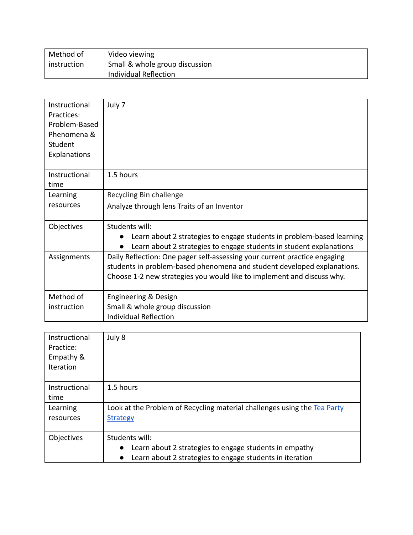| Method of     | Video viewing                  |
|---------------|--------------------------------|
| ' instruction | Small & whole group discussion |
|               | Individual Reflection          |

| Instructional<br>Practices:<br>Problem-Based<br>Phenomena &<br>Student<br>Explanations | July 7                                                                                                                                                                                                                         |
|----------------------------------------------------------------------------------------|--------------------------------------------------------------------------------------------------------------------------------------------------------------------------------------------------------------------------------|
| Instructional<br>time                                                                  | 1.5 hours                                                                                                                                                                                                                      |
| Learning<br>resources                                                                  | Recycling Bin challenge<br>Analyze through lens Traits of an Inventor                                                                                                                                                          |
| Objectives                                                                             | Students will:<br>Learn about 2 strategies to engage students in problem-based learning<br>Learn about 2 strategies to engage students in student explanations<br>$\bullet$                                                    |
| Assignments                                                                            | Daily Reflection: One pager self-assessing your current practice engaging<br>students in problem-based phenomena and student developed explanations.<br>Choose 1-2 new strategies you would like to implement and discuss why. |
| Method of<br>instruction                                                               | Engineering & Design<br>Small & whole group discussion<br><b>Individual Reflection</b>                                                                                                                                         |

| Instructional<br>Practice:<br>Empathy &<br><b>Iteration</b> | July 8                                                                                                                                            |
|-------------------------------------------------------------|---------------------------------------------------------------------------------------------------------------------------------------------------|
| Instructional<br>time                                       | 1.5 hours                                                                                                                                         |
| Learning<br>resources                                       | Look at the Problem of Recycling material challenges using the Tea Party<br><b>Strategy</b>                                                       |
| Objectives                                                  | Students will:<br>Learn about 2 strategies to engage students in empathy<br>$\bullet$<br>Learn about 2 strategies to engage students in iteration |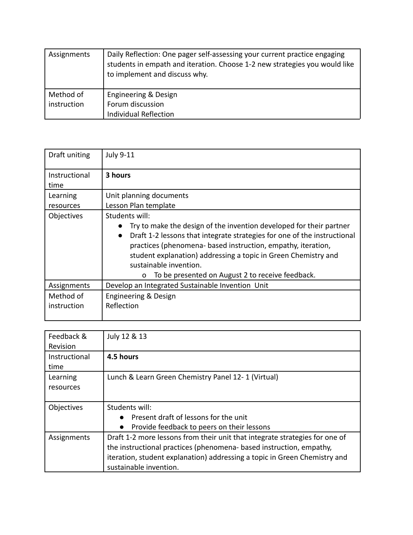| Assignments | Daily Reflection: One pager self-assessing your current practice engaging<br>students in empath and iteration. Choose 1-2 new strategies you would like<br>to implement and discuss why. |
|-------------|------------------------------------------------------------------------------------------------------------------------------------------------------------------------------------------|
| Method of   | Engineering & Design                                                                                                                                                                     |
| instruction | Forum discussion                                                                                                                                                                         |
|             | <b>Individual Reflection</b>                                                                                                                                                             |

| Draft uniting | <b>July 9-11</b>                                                                                                                                                                                                                                                                                                                                                                            |
|---------------|---------------------------------------------------------------------------------------------------------------------------------------------------------------------------------------------------------------------------------------------------------------------------------------------------------------------------------------------------------------------------------------------|
| Instructional | 3 hours                                                                                                                                                                                                                                                                                                                                                                                     |
| time          |                                                                                                                                                                                                                                                                                                                                                                                             |
| Learning      | Unit planning documents                                                                                                                                                                                                                                                                                                                                                                     |
| resources     | Lesson Plan template                                                                                                                                                                                                                                                                                                                                                                        |
| Objectives    | Students will:                                                                                                                                                                                                                                                                                                                                                                              |
|               | Try to make the design of the invention developed for their partner<br>Draft 1-2 lessons that integrate strategies for one of the instructional<br>$\bullet$<br>practices (phenomena-based instruction, empathy, iteration,<br>student explanation) addressing a topic in Green Chemistry and<br>sustainable invention.<br>To be presented on August 2 to receive feedback.<br>$\mathbf{o}$ |
| Assignments   | Develop an Integrated Sustainable Invention Unit                                                                                                                                                                                                                                                                                                                                            |
| Method of     | Engineering & Design                                                                                                                                                                                                                                                                                                                                                                        |
| instruction   | Reflection                                                                                                                                                                                                                                                                                                                                                                                  |
|               |                                                                                                                                                                                                                                                                                                                                                                                             |

| Feedback &<br>Revision | July 12 & 13                                                                                                                                                                                                                                             |
|------------------------|----------------------------------------------------------------------------------------------------------------------------------------------------------------------------------------------------------------------------------------------------------|
| Instructional<br>time  | 4.5 hours                                                                                                                                                                                                                                                |
| Learning<br>resources  | Lunch & Learn Green Chemistry Panel 12-1 (Virtual)                                                                                                                                                                                                       |
| Objectives             | Students will:<br>Present draft of lessons for the unit<br>Provide feedback to peers on their lessons<br>$\bullet$                                                                                                                                       |
| Assignments            | Draft 1-2 more lessons from their unit that integrate strategies for one of<br>the instructional practices (phenomena-based instruction, empathy,<br>iteration, student explanation) addressing a topic in Green Chemistry and<br>sustainable invention. |